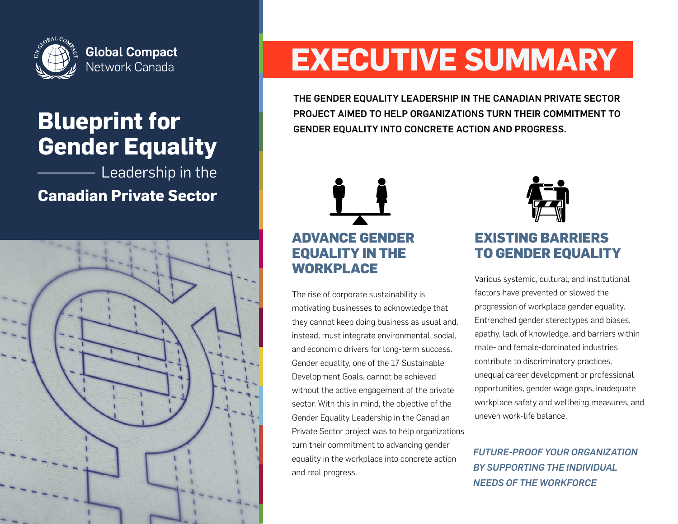

## **Gender Equality Blueprint for**

Leadership in the

**Canadian Private Sector**



# **EXECUTIVE SUMMARY**

THE GENDER EQUALITY LEADERSHIP IN THE CANADIAN PRIVATE SECTOR PROJECT AIMED TO HELP ORGANIZATIONS TURN THEIR COMMITMENT TO GENDER EQUALITY INTO CONCRETE ACTION AND PROGRESS.

## **ADVANCE GENDER EQUALITY IN THE WORKPLACE**

The rise of corporate sustainability is motivating businesses to acknowledge that they cannot keep doing business as usual and, instead, must integrate environmental, social, and economic drivers for long-term success. Gender equality, one of the 17 Sustainable Development Goals, cannot be achieved without the active engagement of the private sector. With this in mind, the objective of the Gender Equality Leadership in the Canadian Private Sector project was to help organizations turn their commitment to advancing gender equality in the workplace into concrete action and real progress.



## **EXISTING BARRIERS TO GENDER EQUALITY**

Various systemic, cultural, and institutional factors have prevented or slowed the progression of workplace gender equality. Entrenched gender stereotypes and biases, apathy, lack of knowledge, and barriers within male- and female-dominated industries contribute to discriminatory practices, unequal career development or professional opportunities, gender wage gaps, inadequate workplace safety and wellbeing measures, and uneven work-life balance.

*FUTURE-PROOF YOUR ORGANIZATION BY SUPPORTING THE INDIVIDUAL NEEDS OF THE WORKFORCE*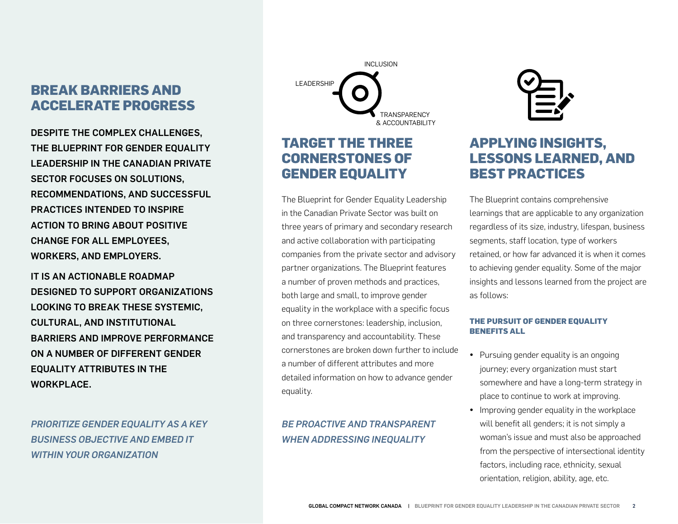## **BREAK BARRIERS AND LEADERSHIP ACCELERATE PROGRESS**

DESPITE THE COMPLEX CHALLENGES, THE BLUEPRINT FOR GENDER EQUALITY LEADERSHIP IN THE CANADIAN PRIVATE SECTOR FOCUSES ON SOLUTIONS, RECOMMENDATIONS, AND SUCCESSFUL PRACTICES INTENDED TO INSPIRE ACTION TO BRING ABOUT POSITIVE CHANGE FOR ALL EMPLOYEES, WORKERS, AND EMPLOYERS.

IT IS AN ACTIONABLE ROADMAP DESIGNED TO SUPPORT ORGANIZATIONS LOOKING TO BREAK THESE SYSTEMIC, CULTURAL, AND INSTITUTIONAL BARRIERS AND IMPROVE PERFORMANCE ON A NUMBER OF DIFFERENT GENDER EQUALITY ATTRIBUTES IN THE WORKPLACE.

*PRIORITIZE GENDER EQUALITY AS A KEY BUSINESS OBJECTIVE AND EMBED IT WITHIN YOUR ORGANIZATION*

**TRANSPARENCY** & ACCOUNTABILITY INCLUSION

### **TARGET THE THREE CORNERSTONES OF GENDER EQUALITY**

The Blueprint for Gender Equality Leadership in the Canadian Private Sector was built on three years of primary and secondary research and active collaboration with participating companies from the private sector and advisory partner organizations. The Blueprint features a number of proven methods and practices, both large and small, to improve gender equality in the workplace with a specific focus on three cornerstones: leadership, inclusion, and transparency and accountability. These cornerstones are broken down further to include a number of different attributes and more detailed information on how to advance gender equality.

#### *BE PROACTIVE AND TRANSPARENT WHEN ADDRESSING INEQUALITY*



## **APPLYING INSIGHTS, LESSONS LEARNED, AND BEST PRACTICES**

The Blueprint contains comprehensive learnings that are applicable to any organization regardless of its size, industry, lifespan, business segments, staff location, type of workers retained, or how far advanced it is when it comes to achieving gender equality. Some of the major insights and lessons learned from the project are as follows:

#### **THE PURSUIT OF GENDER EQUALITY BENEFITS ALL**

- Pursuing gender equality is an ongoing journey; every organization must start somewhere and have a long-term strategy in place to continue to work at improving.
- Improving gender equality in the workplace will benefit all genders; it is not simply a woman's issue and must also be approached from the perspective of intersectional identity factors, including race, ethnicity, sexual orientation, religion, ability, age, etc.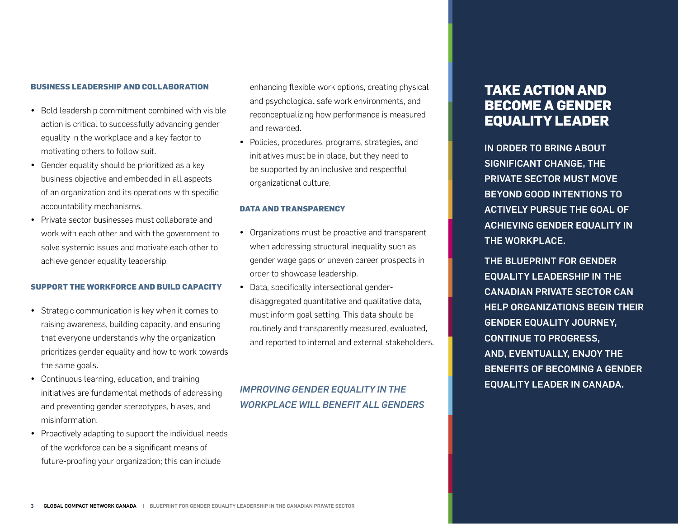#### **BUSINESS LEADERSHIP AND COLLABORATION**

- Bold leadership commitment combined with visible action is critical to successfully advancing gender equality in the workplace and a key factor to motivating others to follow suit.
- Gender equality should be prioritized as a key business objective and embedded in all aspects of an organization and its operations with specific accountability mechanisms.
- Private sector businesses must collaborate and work with each other and with the government to solve systemic issues and motivate each other to achieve gender equality leadership.

#### **SUPPORT THE WORKFORCE AND BUILD CAPACITY**

- Strategic communication is key when it comes to raising awareness, building capacity, and ensuring that everyone understands why the organization prioritizes gender equality and how to work towards the same goals.
- Continuous learning, education, and training initiatives are fundamental methods of addressing and preventing gender stereotypes, biases, and misinformation.
- Proactively adapting to support the individual needs of the workforce can be a significant means of future-proofing your organization; this can include

enhancing flexible work options, creating physical and psychological safe work environments, and reconceptualizing how performance is measured and rewarded.

• Policies, procedures, programs, strategies, and initiatives must be in place, but they need to be supported by an inclusive and respectful organizational culture.

#### **DATA AND TRANSPARENCY**

- Organizations must be proactive and transparent when addressing structural inequality such as gender wage gaps or uneven career prospects in order to showcase leadership.
- Data, specifically intersectional genderdisaggregated quantitative and qualitative data, must inform goal setting. This data should be routinely and transparently measured, evaluated, and reported to internal and external stakeholders.

## EQUALITY LEADER IN CANADA. *IMPROVING GENDER EQUALITY IN THE WORKPLACE WILL BENEFIT ALL GENDERS*

## **TAKE ACTION AND BECOME A GENDER EQUALITY LEADER**

IN ORDER TO BRING ABOUT SIGNIFICANT CHANGE, THE PRIVATE SECTOR MUST MOVE BEYOND GOOD INTENTIONS TO ACTIVELY PURSUE THE GOAL OF ACHIEVING GENDER EQUALITY IN THE WORKPLACE.

THE BLUEPRINT FOR GENDER EQUALITY LEADERSHIP IN THE CANADIAN PRIVATE SECTOR CAN HELP ORGANIZATIONS BEGIN THEIR GENDER EQUALITY JOURNEY, CONTINUE TO PROGRESS, AND, EVENTUALLY, ENJOY THE BENEFITS OF BECOMING A GENDER